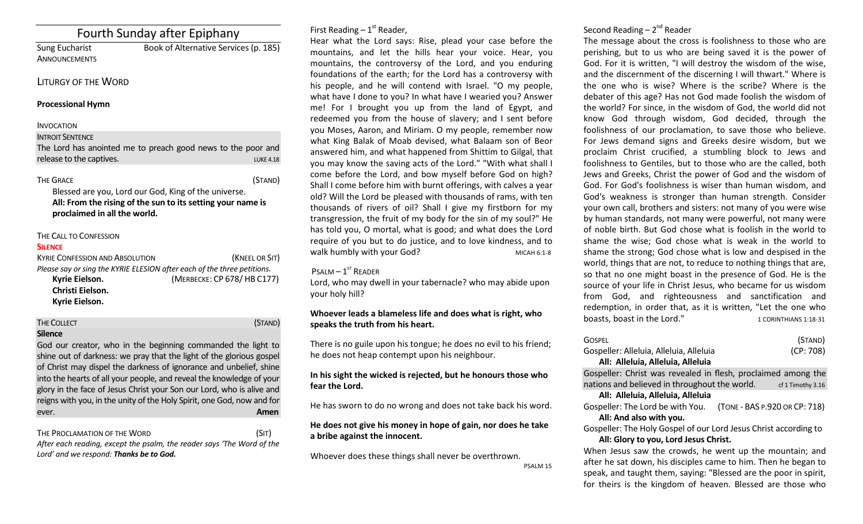# Fourth Sunday after Epiphany

ANNOUNCEMENTS

Sung Eucharist Book of Alternative Services (p. 185)

## LITURGY OF THE WORD

#### **Processional Hymn**

# INVOCATION

**INTROIT SENTENCE** 

| The Lord has anointed me to preach good news to the poor and |  |  |  |  |                  |
|--------------------------------------------------------------|--|--|--|--|------------------|
| release to the captives.                                     |  |  |  |  | <b>LUKE 4.18</b> |

### THE GRACE (STAND)

Blessed are you, Lord our God, King of the universe. **All: From the rising of the sun to its setting your name is proclaimed in all the world.**

# THE CALL TO CONFESSION

#### **SILENCE**

| <b>KYRIE CONFESSION AND ABSOLUTION</b>                                  | (KNEEL OR SIT)             |  |  |  |
|-------------------------------------------------------------------------|----------------------------|--|--|--|
| Please say or sing the KYRIE ELESION after each of the three petitions. |                            |  |  |  |
| Kyrie Eielson.                                                          | (MERBECKE: CP 678/HB C177) |  |  |  |
| Christi Eielson.                                                        |                            |  |  |  |
| Kyrie Eielson.                                                          |                            |  |  |  |

| <b>THE COLLECT</b><br>(STAND)                                          |
|------------------------------------------------------------------------|
| <b>Silence</b>                                                         |
| God our creator, who in the beginning commanded the light to           |
| shine out of darkness: we pray that the light of the glorious gospel   |
| of Christ may dispel the darkness of ignorance and unbelief, shine     |
| into the hearts of all your people, and reveal the knowledge of your   |
| glory in the face of Jesus Christ your Son our Lord, who is alive and  |
| reigns with you, in the unity of the Holy Spirit, one God, now and for |
| Amen<br>ever.                                                          |

#### THE PROCLAMATION OF THE WORD (SIT) *After each reading, except the psalm, the reader says 'The Word of the Lord' and we respond: Thanks be to God.*

First Reading  $-1<sup>st</sup>$  Reader,

Hear what the Lord says: Rise, plead your case before the mountains, and let the hills hear your voice. Hear, you mountains, the controversy of the Lord, and you enduring foundations of the earth; for the Lord has a controversy with his people, and he will contend with Israel. "O my people, what have I done to you? In what have I wearied you? Answer me! For I brought you up from the land of Egypt, and redeemed you from the house of slavery; and I sent before you Moses, Aaron, and Miriam. O my people, remember now what King Balak of Moab devised, what Balaam son of Beor answered him, and what happened from Shittim to Gilgal, that you may know the saving acts of the Lord." "With what shall I come before the Lord, and bow myself before God on high? Shall I come before him with burnt offerings, with calves a year old? Will the Lord be pleased with thousands of rams, with ten thousands of rivers of oil? Shall I give my firstborn for my transgression, the fruit of my body for the sin of my soul?" He has told you, O mortal, what is good; and what does the Lord require of you but to do justice, and to love kindness, and to walk humbly with your God? MICAH 6:1-8

# $P$ SALM  $-1$ <sup>ST</sup> READER

Lord, who may dwell in your tabernacle? who may abide upon your holy hill?

# **Whoever leads a blameless life and does what is right, who speaks the truth from his heart.**

There is no guile upon his tongue; he does no evil to his friend; he does not heap contempt upon his neighbour.

# **In his sight the wicked is rejected, but he honours those who fear the Lord.**

He has sworn to do no wrong and does not take back his word.

# **He does not give his money in hope of gain, nor does he take a bribe against the innocent.**

Whoever does these things shall never be overthrown. PSALM 15

# Second Reading – 2<sup>nd</sup> Reader

The message about the cross is foolishness to those who are perishing, but to us who are being saved it is the power of God. For it is written, "I will destroy the wisdom of the wise, and the discernment of the discerning I will thwart." Where is the one who is wise? Where is the scribe? Where is the debater of this age? Has not God made foolish the wisdom of the world? For since, in the wisdom of God, the world did not know God through wisdom, God decided, through the foolishness of our proclamation, to save those who believe. For Jews demand signs and Greeks desire wisdom, but we proclaim Christ crucified, a stumbling block to Jews and foolishness to Gentiles, but to those who are the called, both Jews and Greeks, Christ the power of God and the wisdom of God. For God's foolishness is wiser than human wisdom, and God's weakness is stronger than human strength. Consider your own call, brothers and sisters: not many of you were wise by human standards, not many were powerful, not many were of noble birth. But God chose what is foolish in the world to shame the wise; God chose what is weak in the world to shame the strong; God chose what is low and despised in the world, things that are not, to reduce to nothing things that are, so that no one might boast in the presence of God. He is the source of your life in Christ Jesus, who became for us wisdom from God, and righteousness and sanctification and redemption, in order that, as it is written, "Let the one who boasts, boast in the Lord." 1 CORINTHIANS 1:18-31

| Gospel                                                           | (STAND)           |  |
|------------------------------------------------------------------|-------------------|--|
| Gospeller: Alleluia, Alleluia, Alleluia                          | (CP: 708)         |  |
| All: Alleluia, Alleluia, Alleluia                                |                   |  |
| Gospeller: Christ was revealed in flesh, proclaimed among the    |                   |  |
| nations and believed in throughout the world.                    | cf 1 Timothy 3.16 |  |
| All: Alleluia, Alleluia, Alleluia                                |                   |  |
| Gospeller: The Lord be with You. (TONE - BAS P.920 OR CP: 718)   |                   |  |
| All: And also with you.                                          |                   |  |
| Gospeller: The Holy Gospel of our Lord Jesus Christ according to |                   |  |
| All: Glory to you, Lord Jesus Christ.                            |                   |  |
| When Jesus saw the crowds, he went up the mountain; and          |                   |  |
| after he sat down, his disciples came to him. Then he began to   |                   |  |

after he sat down, his disciples came to him. Then he began to speak, and taught them, saying: "Blessed are the poor in spirit, for theirs is the kingdom of heaven. Blessed are those who